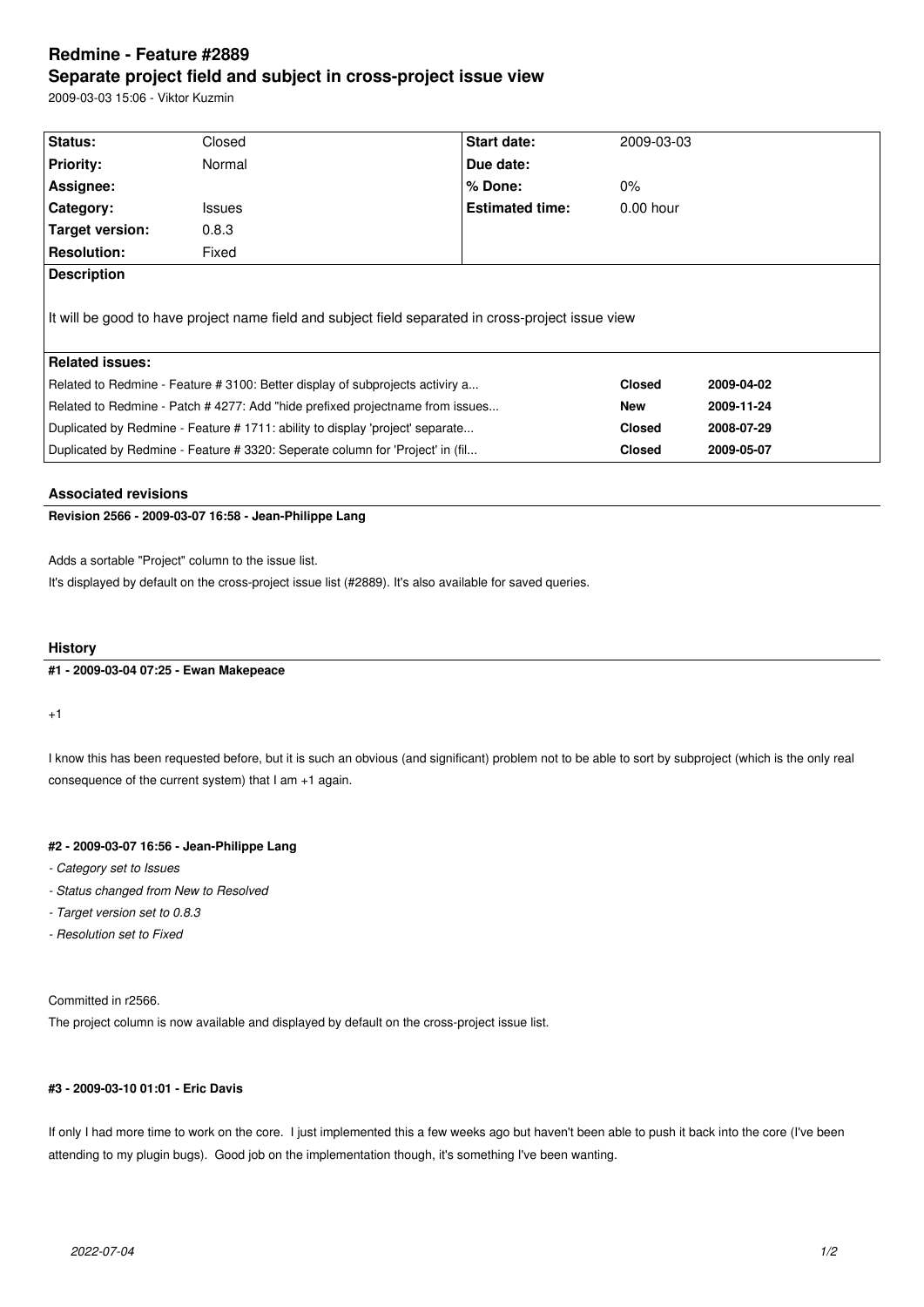# **Redmine - Feature #2889 Separate project field and subject in cross-project issue view**

2009-03-03 15:06 - Viktor Kuzmin

| Status:                                                                                            | Closed        | Start date:            | 2009-03-03    |            |
|----------------------------------------------------------------------------------------------------|---------------|------------------------|---------------|------------|
| <b>Priority:</b>                                                                                   | Normal        | Due date:              |               |            |
| Assignee:                                                                                          |               | $%$ Done:              | $0\%$         |            |
| Category:                                                                                          | <b>Issues</b> | <b>Estimated time:</b> | $0.00$ hour   |            |
| Target version:                                                                                    | 0.8.3         |                        |               |            |
| <b>Resolution:</b>                                                                                 | Fixed         |                        |               |            |
| <b>Description</b>                                                                                 |               |                        |               |            |
| It will be good to have project name field and subject field separated in cross-project issue view |               |                        |               |            |
| <b>Related issues:</b>                                                                             |               |                        |               |            |
| Related to Redmine - Feature # 3100: Better display of subprojects activiry a                      |               |                        | <b>Closed</b> | 2009-04-02 |
| Related to Redmine - Patch #4277: Add "hide prefixed projectname from issues                       |               |                        | New           | 2009-11-24 |
| Duplicated by Redmine - Feature # 1711: ability to display 'project' separate                      |               |                        | <b>Closed</b> | 2008-07-29 |
| Duplicated by Redmine - Feature # 3320: Seperate column for 'Project' in (fil                      |               |                        | <b>Closed</b> | 2009-05-07 |
|                                                                                                    |               |                        |               |            |

## **Associated revisions**

**Revision 2566 - 2009-03-07 16:58 - Jean-Philippe Lang**

Adds a sortable "Project" column to the issue list.

It's displayed by default on the cross-project issue list (#2889). It's also available for saved queries.

#### **History**

**#1 - 2009-03-04 07:25 - Ewan Makepeace**

+1

I know this has been requested before, but it is such an obvious (and significant) problem not to be able to sort by subproject (which is the only real consequence of the current system) that I am +1 again.

#### **#2 - 2009-03-07 16:56 - Jean-Philippe Lang**

*- Category set to Issues*

- *Status changed from New to Resolved*
- *Target version set to 0.8.3*
- *Resolution set to Fixed*

Committed in r2566.

The project column is now available and displayed by default on the cross-project issue list.

### **#3 - 2009-03-10 01:01 - Eric Davis**

If only I had more time to work on the core. I just implemented this a few weeks ago but haven't been able to push it back into the core (I've been attending to my plugin bugs). Good job on the implementation though, it's something I've been wanting.